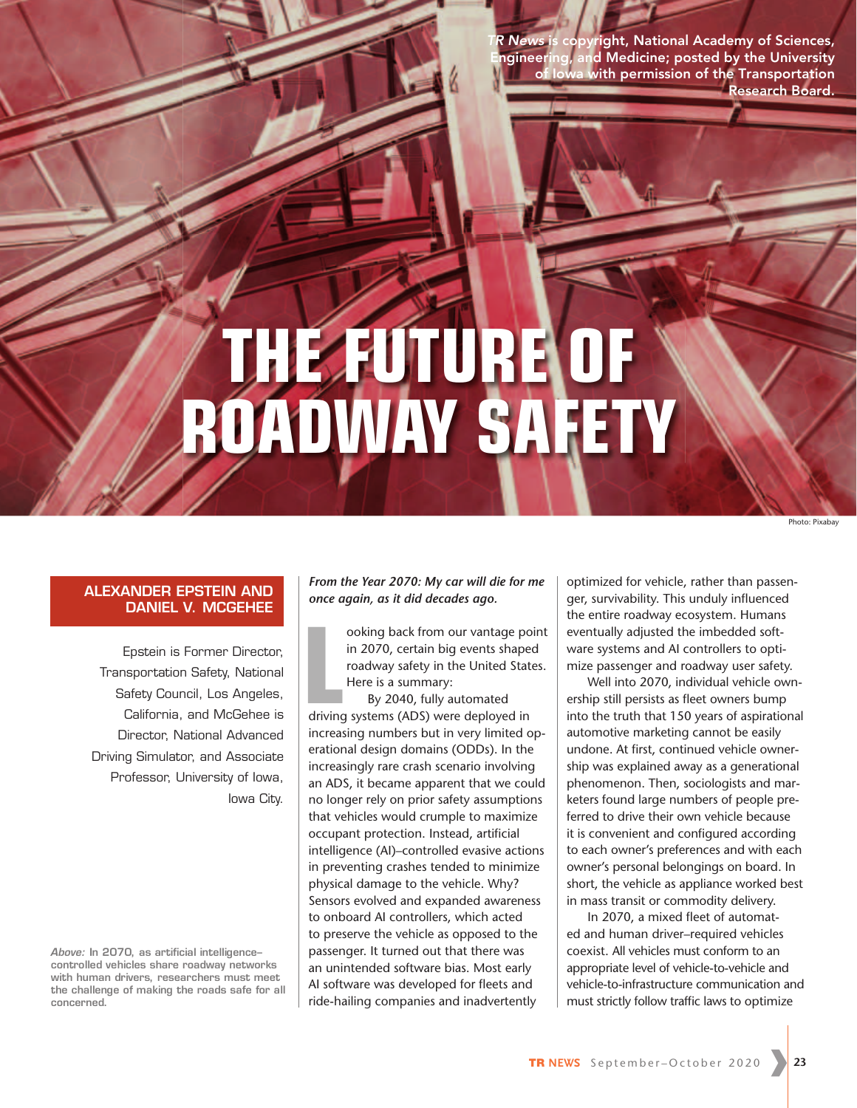ight, National Academy of Sciences, gineering, and Medicine; posted by the University with permission of the Transportation Research Board.

# **THE FUTURE OF ROADWAY SAFETY**

Photo: Pixabay

#### **ALEXANDER EPSTEIN AND DANIEL V. MCGEHEE**

Epstein is Former Director, Transportation Safety, National Safety Council, Los Angeles, California, and McGehee is Director, National Advanced Driving Simulator, and Associate Professor, University of Iowa, Iowa City.

*Above:* **In 2070, as artificial intelligence– controlled vehicles share roadway networks with human drivers, researchers must meet the challenge of making the roads safe for all concerned.**

*From the Year 2070: My car will die for me once again, as it did decades ago.*

ooking back from our vantage po<br>
in 2070, certain big events shapeer<br>
roadway safety in the United State<br>
Here is a summary:<br>
By 2040, fully automated<br>
driving systems (ADS) were deployed in ooking back from our vantage point in 2070, certain big events shaped roadway safety in the United States. Here is a summary:

By 2040, fully automated increasing numbers but in very limited operational design domains (ODDs). In the increasingly rare crash scenario involving an ADS, it became apparent that we could no longer rely on prior safety assumptions that vehicles would crumple to maximize occupant protection. Instead, artificial intelligence (AI)–controlled evasive actions in preventing crashes tended to minimize physical damage to the vehicle. Why? Sensors evolved and expanded awareness to onboard AI controllers, which acted to preserve the vehicle as opposed to the passenger. It turned out that there was an unintended software bias. Most early AI software was developed for fleets and ride-hailing companies and inadvertently

optimized for vehicle, rather than passenger, survivability. This unduly influenced the entire roadway ecosystem. Humans eventually adjusted the imbedded software systems and AI controllers to optimize passenger and roadway user safety.

Well into 2070, individual vehicle ownership still persists as fleet owners bump into the truth that 150 years of aspirational automotive marketing cannot be easily undone. At first, continued vehicle ownership was explained away as a generational phenomenon. Then, sociologists and marketers found large numbers of people preferred to drive their own vehicle because it is convenient and configured according to each owner's preferences and with each owner's personal belongings on board. In short, the vehicle as appliance worked best in mass transit or commodity delivery.

In 2070, a mixed fleet of automated and human driver–required vehicles coexist. All vehicles must conform to an appropriate level of vehicle-to-vehicle and vehicle-to-infrastructure communication and must strictly follow traffic laws to optimize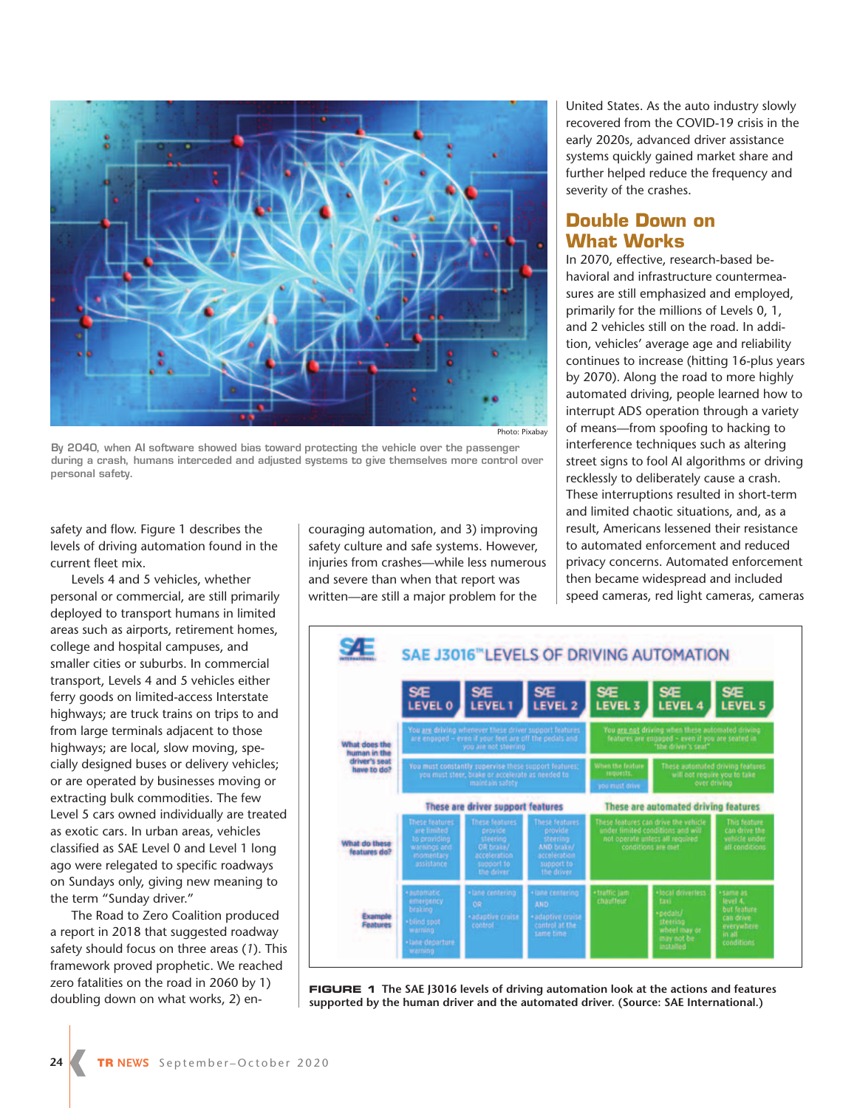

Photo: Pixabay

**By 2040, when AI software showed bias toward protecting the vehicle over the passenger during a crash, humans interceded and adjusted systems to give themselves more control over personal safety.** 

safety and flow. Figure 1 describes the levels of driving automation found in the current fleet mix.

Levels 4 and 5 vehicles, whether personal or commercial, are still primarily deployed to transport humans in limited areas such as airports, retirement homes, college and hospital campuses, and smaller cities or suburbs. In commercial transport, Levels 4 and 5 vehicles either ferry goods on limited-access Interstate highways; are truck trains on trips to and from large terminals adjacent to those highways; are local, slow moving, specially designed buses or delivery vehicles; or are operated by businesses moving or extracting bulk commodities. The few Level 5 cars owned individually are treated as exotic cars. In urban areas, vehicles classified as SAE Level 0 and Level 1 long ago were relegated to specific roadways on Sundays only, giving new meaning to the term "Sunday driver."

The Road to Zero Coalition produced a report in 2018 that suggested roadway safety should focus on three areas (*1*). This framework proved prophetic. We reached zero fatalities on the road in 2060 by 1) doubling down on what works, 2) encouraging automation, and 3) improving safety culture and safe systems. However, injuries from crashes—while less numerous and severe than when that report was written—are still a major problem for the

United States. As the auto industry slowly recovered from the COVID-19 crisis in the early 2020s, advanced driver assistance systems quickly gained market share and further helped reduce the frequency and severity of the crashes.

### **Double Down on What Works**

In 2070, effective, research-based behavioral and infrastructure countermeasures are still emphasized and employed, primarily for the millions of Levels 0, 1, and 2 vehicles still on the road. In addition, vehicles' average age and reliability continues to increase (hitting 16-plus years by 2070). Along the road to more highly automated driving, people learned how to interrupt ADS operation through a variety of means—from spoofing to hacking to interference techniques such as altering street signs to fool AI algorithms or driving recklessly to deliberately cause a crash. These interruptions resulted in short-term and limited chaotic situations, and, as a result, Americans lessened their resistance to automated enforcement and reduced privacy concerns. Automated enforcement then became widespread and included speed cameras, red light cameras, cameras



**FIGURE 1 The SAE J3016 levels of driving automation look at the actions and features supported by the human driver and the automated driver. (Source: SAE International.)**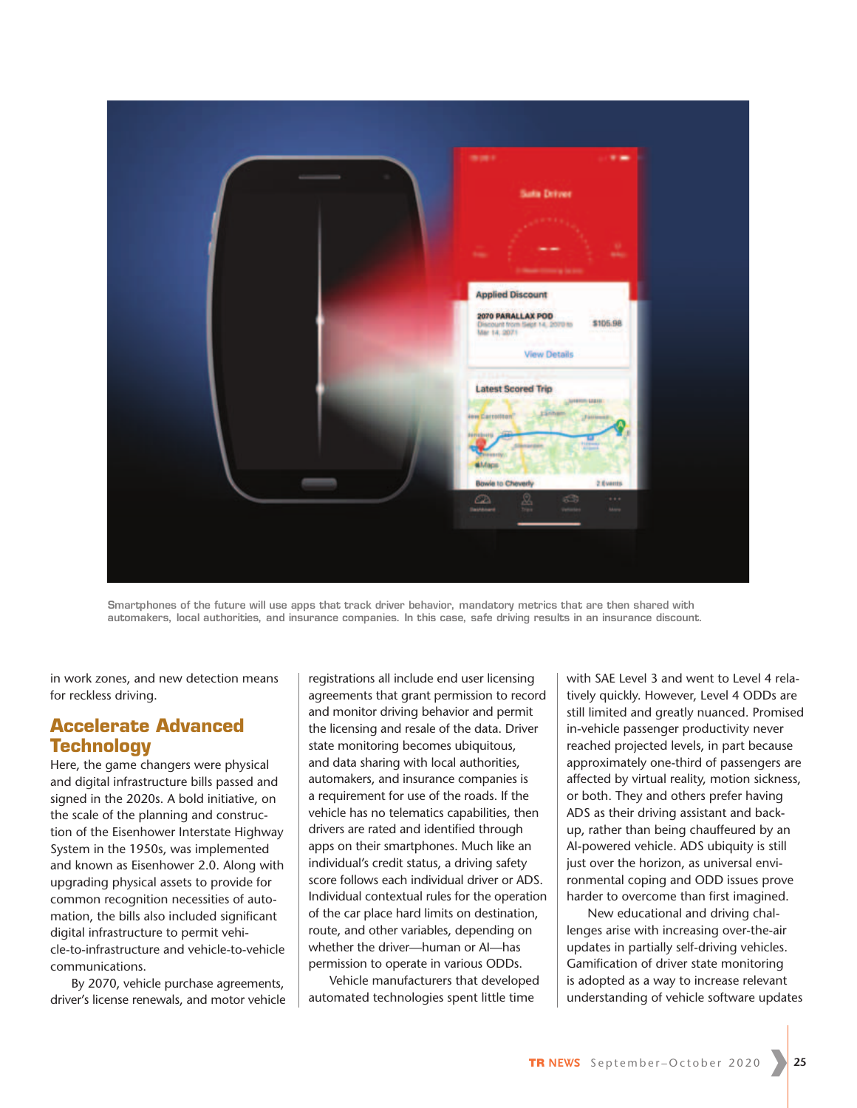

**Smartphones of the future will use apps that track driver behavior, mandatory metrics that are then shared with automakers, local authorities, and insurance companies. In this case, safe driving results in an insurance discount.** 

in work zones, and new detection means for reckless driving.

## **Accelerate Advanced Technology**

Here, the game changers were physical and digital infrastructure bills passed and signed in the 2020s. A bold initiative, on the scale of the planning and construction of the Eisenhower Interstate Highway System in the 1950s, was implemented and known as Eisenhower 2.0. Along with upgrading physical assets to provide for common recognition necessities of automation, the bills also included significant digital infrastructure to permit vehicle-to-infrastructure and vehicle-to-vehicle communications.

By 2070, vehicle purchase agreements, driver's license renewals, and motor vehicle registrations all include end user licensing agreements that grant permission to record and monitor driving behavior and permit the licensing and resale of the data. Driver state monitoring becomes ubiquitous, and data sharing with local authorities, automakers, and insurance companies is a requirement for use of the roads. If the vehicle has no telematics capabilities, then drivers are rated and identified through apps on their smartphones. Much like an individual's credit status, a driving safety score follows each individual driver or ADS. Individual contextual rules for the operation of the car place hard limits on destination, route, and other variables, depending on whether the driver—human or AI—has permission to operate in various ODDs.

Vehicle manufacturers that developed automated technologies spent little time

with SAE Level 3 and went to Level 4 relatively quickly. However, Level 4 ODDs are still limited and greatly nuanced. Promised in-vehicle passenger productivity never reached projected levels, in part because approximately one-third of passengers are affected by virtual reality, motion sickness, or both. They and others prefer having ADS as their driving assistant and backup, rather than being chauffeured by an AI-powered vehicle. ADS ubiquity is still just over the horizon, as universal environmental coping and ODD issues prove harder to overcome than first imagined.

New educational and driving challenges arise with increasing over-the-air updates in partially self-driving vehicles. Gamification of driver state monitoring is adopted as a way to increase relevant understanding of vehicle software updates